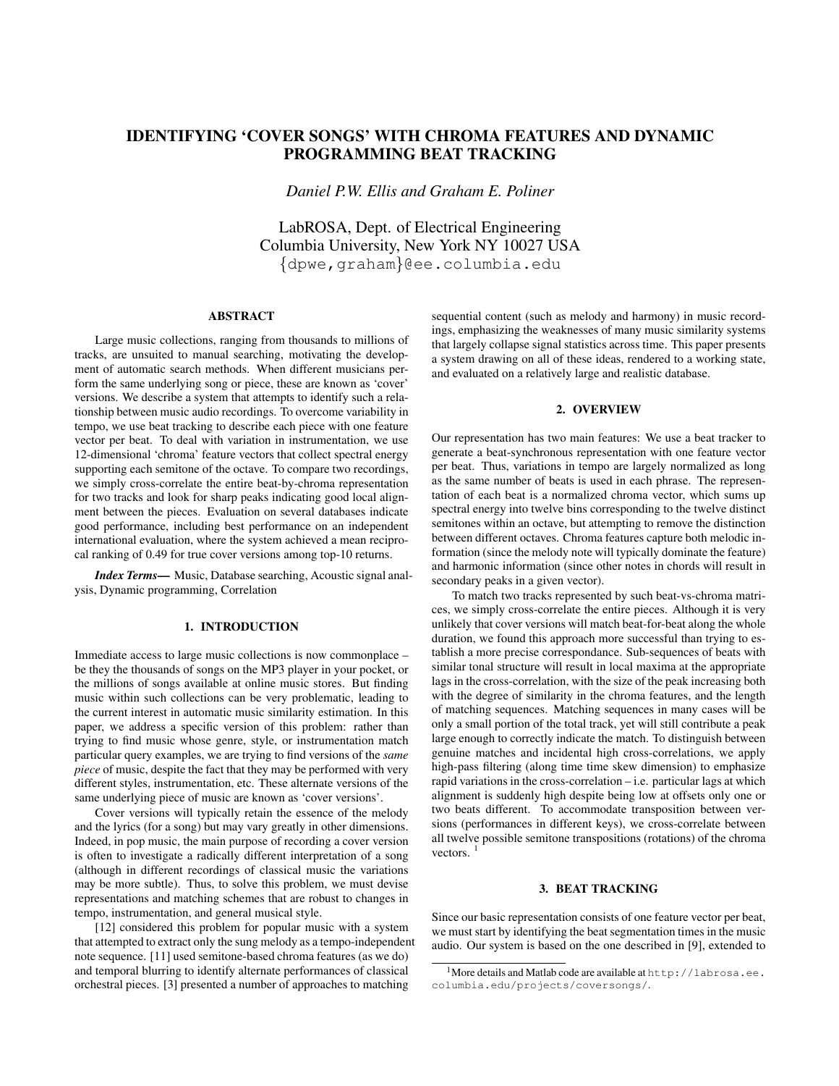# IDENTIFYING 'COVER SONGS' WITH CHROMA FEATURES AND DYNAMIC PROGRAMMING BEAT TRACKING

*Daniel P.W. Ellis and Graham E. Poliner*

LabROSA, Dept. of Electrical Engineering Columbia University, New York NY 10027 USA {dpwe,graham}@ee.columbia.edu

# ABSTRACT

Large music collections, ranging from thousands to millions of tracks, are unsuited to manual searching, motivating the development of automatic search methods. When different musicians perform the same underlying song or piece, these are known as 'cover' versions. We describe a system that attempts to identify such a relationship between music audio recordings. To overcome variability in tempo, we use beat tracking to describe each piece with one feature vector per beat. To deal with variation in instrumentation, we use 12-dimensional 'chroma' feature vectors that collect spectral energy supporting each semitone of the octave. To compare two recordings, we simply cross-correlate the entire beat-by-chroma representation for two tracks and look for sharp peaks indicating good local alignment between the pieces. Evaluation on several databases indicate good performance, including best performance on an independent international evaluation, where the system achieved a mean reciprocal ranking of 0.49 for true cover versions among top-10 returns.

*Index Terms*— Music, Database searching, Acoustic signal analysis, Dynamic programming, Correlation

# 1. INTRODUCTION

Immediate access to large music collections is now commonplace – be they the thousands of songs on the MP3 player in your pocket, or the millions of songs available at online music stores. But finding music within such collections can be very problematic, leading to the current interest in automatic music similarity estimation. In this paper, we address a specific version of this problem: rather than trying to find music whose genre, style, or instrumentation match particular query examples, we are trying to find versions of the *same piece* of music, despite the fact that they may be performed with very different styles, instrumentation, etc. These alternate versions of the same underlying piece of music are known as 'cover versions'.

Cover versions will typically retain the essence of the melody and the lyrics (for a song) but may vary greatly in other dimensions. Indeed, in pop music, the main purpose of recording a cover version is often to investigate a radically different interpretation of a song (although in different recordings of classical music the variations may be more subtle). Thus, to solve this problem, we must devise representations and matching schemes that are robust to changes in tempo, instrumentation, and general musical style.

[12] considered this problem for popular music with a system that attempted to extract only the sung melody as a tempo-independent note sequence. [11] used semitone-based chroma features (as we do) and temporal blurring to identify alternate performances of classical orchestral pieces. [3] presented a number of approaches to matching

sequential content (such as melody and harmony) in music recordings, emphasizing the weaknesses of many music similarity systems that largely collapse signal statistics across time. This paper presents a system drawing on all of these ideas, rendered to a working state, and evaluated on a relatively large and realistic database.

## 2. OVERVIEW

Our representation has two main features: We use a beat tracker to generate a beat-synchronous representation with one feature vector per beat. Thus, variations in tempo are largely normalized as long as the same number of beats is used in each phrase. The representation of each beat is a normalized chroma vector, which sums up spectral energy into twelve bins corresponding to the twelve distinct semitones within an octave, but attempting to remove the distinction between different octaves. Chroma features capture both melodic information (since the melody note will typically dominate the feature) and harmonic information (since other notes in chords will result in secondary peaks in a given vector).

To match two tracks represented by such beat-vs-chroma matrices, we simply cross-correlate the entire pieces. Although it is very unlikely that cover versions will match beat-for-beat along the whole duration, we found this approach more successful than trying to establish a more precise correspondance. Sub-sequences of beats with similar tonal structure will result in local maxima at the appropriate lags in the cross-correlation, with the size of the peak increasing both with the degree of similarity in the chroma features, and the length of matching sequences. Matching sequences in many cases will be only a small portion of the total track, yet will still contribute a peak large enough to correctly indicate the match. To distinguish between genuine matches and incidental high cross-correlations, we apply high-pass filtering (along time time skew dimension) to emphasize rapid variations in the cross-correlation – i.e. particular lags at which alignment is suddenly high despite being low at offsets only one or two beats different. To accommodate transposition between versions (performances in different keys), we cross-correlate between all twelve possible semitone transpositions (rotations) of the chroma vectors.  $<sup>1</sup>$ </sup>

### 3. BEAT TRACKING

Since our basic representation consists of one feature vector per beat, we must start by identifying the beat segmentation times in the music audio. Our system is based on the one described in [9], extended to

<sup>&</sup>lt;sup>1</sup>More details and Matlab code are available at http://labrosa.ee. columbia.edu/projects/coversongs/.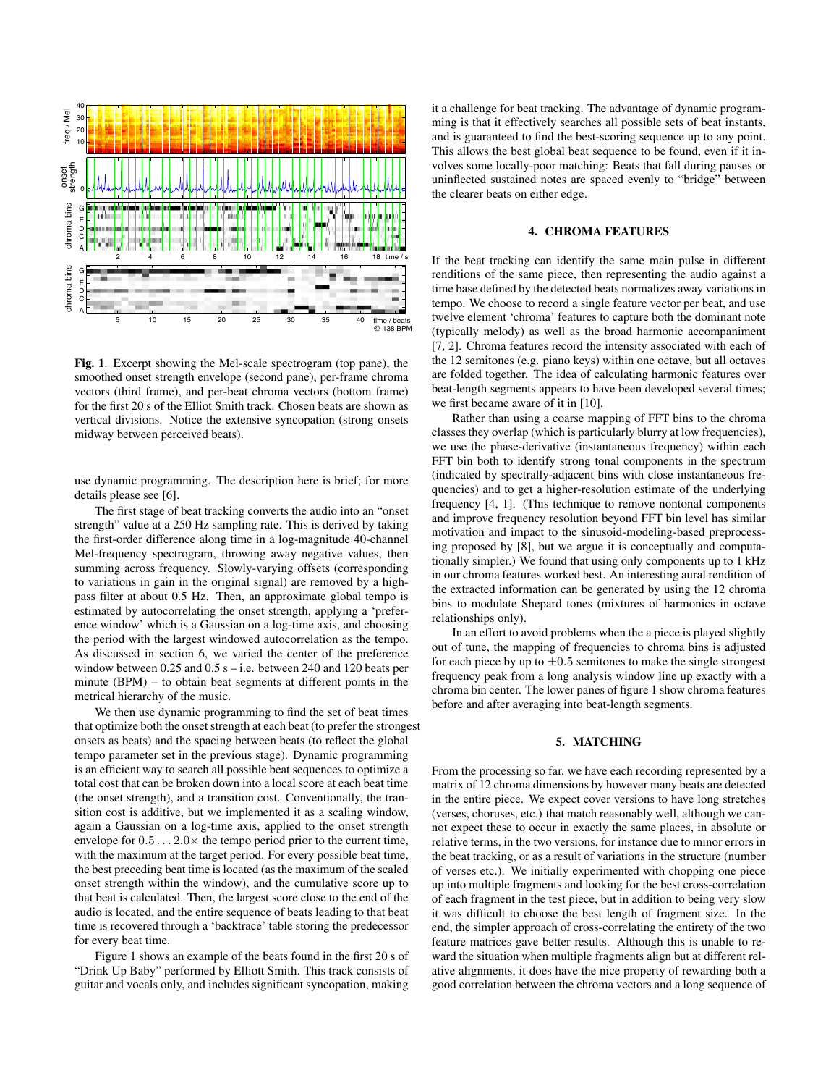

Fig. 1. Excerpt showing the Mel-scale spectrogram (top pane), the smoothed onset strength envelope (second pane), per-frame chroma vectors (third frame), and per-beat chroma vectors (bottom frame) for the first 20 s of the Elliot Smith track. Chosen beats are shown as vertical divisions. Notice the extensive syncopation (strong onsets midway between perceived beats).

use dynamic programming. The description here is brief; for more details please see [6].

The first stage of beat tracking converts the audio into an "onset strength" value at a 250 Hz sampling rate. This is derived by taking the first-order difference along time in a log-magnitude 40-channel Mel-frequency spectrogram, throwing away negative values, then summing across frequency. Slowly-varying offsets (corresponding to variations in gain in the original signal) are removed by a highpass filter at about 0.5 Hz. Then, an approximate global tempo is estimated by autocorrelating the onset strength, applying a 'preference window' which is a Gaussian on a log-time axis, and choosing the period with the largest windowed autocorrelation as the tempo. As discussed in section 6, we varied the center of the preference window between 0.25 and 0.5 s – i.e. between 240 and 120 beats per minute (BPM) – to obtain beat segments at different points in the metrical hierarchy of the music.

We then use dynamic programming to find the set of beat times that optimize both the onset strength at each beat (to prefer the strongest onsets as beats) and the spacing between beats (to reflect the global tempo parameter set in the previous stage). Dynamic programming is an efficient way to search all possible beat sequences to optimize a total cost that can be broken down into a local score at each beat time (the onset strength), and a transition cost. Conventionally, the transition cost is additive, but we implemented it as a scaling window, again a Gaussian on a log-time axis, applied to the onset strength envelope for  $0.5 \ldots 2.0 \times$  the tempo period prior to the current time, with the maximum at the target period. For every possible beat time, the best preceding beat time is located (as the maximum of the scaled onset strength within the window), and the cumulative score up to that beat is calculated. Then, the largest score close to the end of the audio is located, and the entire sequence of beats leading to that beat time is recovered through a 'backtrace' table storing the predecessor for every beat time.

Figure 1 shows an example of the beats found in the first 20 s of "Drink Up Baby" performed by Elliott Smith. This track consists of guitar and vocals only, and includes significant syncopation, making it a challenge for beat tracking. The advantage of dynamic programming is that it effectively searches all possible sets of beat instants, and is guaranteed to find the best-scoring sequence up to any point. This allows the best global beat sequence to be found, even if it involves some locally-poor matching: Beats that fall during pauses or uninflected sustained notes are spaced evenly to "bridge" between the clearer beats on either edge.

### 4. CHROMA FEATURES

If the beat tracking can identify the same main pulse in different renditions of the same piece, then representing the audio against a time base defined by the detected beats normalizes away variations in tempo. We choose to record a single feature vector per beat, and use twelve element 'chroma' features to capture both the dominant note (typically melody) as well as the broad harmonic accompaniment [7, 2]. Chroma features record the intensity associated with each of the 12 semitones (e.g. piano keys) within one octave, but all octaves are folded together. The idea of calculating harmonic features over beat-length segments appears to have been developed several times; we first became aware of it in [10].

Rather than using a coarse mapping of FFT bins to the chroma classes they overlap (which is particularly blurry at low frequencies), we use the phase-derivative (instantaneous frequency) within each FFT bin both to identify strong tonal components in the spectrum (indicated by spectrally-adjacent bins with close instantaneous frequencies) and to get a higher-resolution estimate of the underlying frequency [4, 1]. (This technique to remove nontonal components and improve frequency resolution beyond FFT bin level has similar motivation and impact to the sinusoid-modeling-based preprocessing proposed by [8], but we argue it is conceptually and computationally simpler.) We found that using only components up to 1 kHz in our chroma features worked best. An interesting aural rendition of the extracted information can be generated by using the 12 chroma bins to modulate Shepard tones (mixtures of harmonics in octave relationships only).

In an effort to avoid problems when the a piece is played slightly out of tune, the mapping of frequencies to chroma bins is adjusted for each piece by up to  $\pm 0.5$  semitones to make the single strongest frequency peak from a long analysis window line up exactly with a chroma bin center. The lower panes of figure 1 show chroma features before and after averaging into beat-length segments.

# 5. MATCHING

From the processing so far, we have each recording represented by a matrix of 12 chroma dimensions by however many beats are detected in the entire piece. We expect cover versions to have long stretches (verses, choruses, etc.) that match reasonably well, although we cannot expect these to occur in exactly the same places, in absolute or relative terms, in the two versions, for instance due to minor errors in the beat tracking, or as a result of variations in the structure (number of verses etc.). We initially experimented with chopping one piece up into multiple fragments and looking for the best cross-correlation of each fragment in the test piece, but in addition to being very slow it was difficult to choose the best length of fragment size. In the end, the simpler approach of cross-correlating the entirety of the two feature matrices gave better results. Although this is unable to reward the situation when multiple fragments align but at different relative alignments, it does have the nice property of rewarding both a good correlation between the chroma vectors and a long sequence of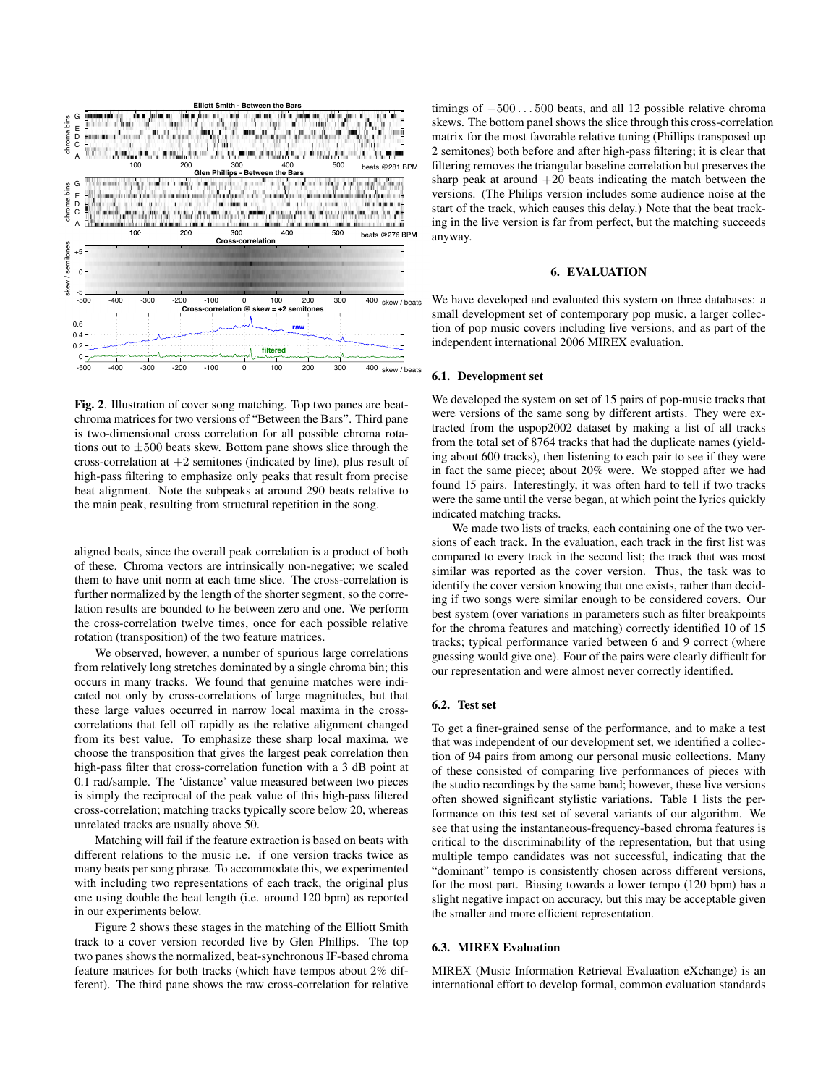

Fig. 2. Illustration of cover song matching. Top two panes are beatchroma matrices for two versions of "Between the Bars". Third pane is two-dimensional cross correlation for all possible chroma rotations out to  $\pm 500$  beats skew. Bottom pane shows slice through the cross-correlation at  $+2$  semitones (indicated by line), plus result of high-pass filtering to emphasize only peaks that result from precise beat alignment. Note the subpeaks at around 290 beats relative to the main peak, resulting from structural repetition in the song.

aligned beats, since the overall peak correlation is a product of both of these. Chroma vectors are intrinsically non-negative; we scaled them to have unit norm at each time slice. The cross-correlation is further normalized by the length of the shorter segment, so the correlation results are bounded to lie between zero and one. We perform the cross-correlation twelve times, once for each possible relative rotation (transposition) of the two feature matrices.

We observed, however, a number of spurious large correlations from relatively long stretches dominated by a single chroma bin; this occurs in many tracks. We found that genuine matches were indicated not only by cross-correlations of large magnitudes, but that these large values occurred in narrow local maxima in the crosscorrelations that fell off rapidly as the relative alignment changed from its best value. To emphasize these sharp local maxima, we choose the transposition that gives the largest peak correlation then high-pass filter that cross-correlation function with a 3 dB point at 0.1 rad/sample. The 'distance' value measured between two pieces is simply the reciprocal of the peak value of this high-pass filtered cross-correlation; matching tracks typically score below 20, whereas unrelated tracks are usually above 50.

Matching will fail if the feature extraction is based on beats with different relations to the music i.e. if one version tracks twice as many beats per song phrase. To accommodate this, we experimented with including two representations of each track, the original plus one using double the beat length (i.e. around 120 bpm) as reported in our experiments below.

Figure 2 shows these stages in the matching of the Elliott Smith track to a cover version recorded live by Glen Phillips. The top two panes shows the normalized, beat-synchronous IF-based chroma feature matrices for both tracks (which have tempos about 2% different). The third pane shows the raw cross-correlation for relative

timings of −500 . . . 500 beats, and all 12 possible relative chroma skews. The bottom panel shows the slice through this cross-correlation matrix for the most favorable relative tuning (Phillips transposed up 2 semitones) both before and after high-pass filtering; it is clear that filtering removes the triangular baseline correlation but preserves the sharp peak at around  $+20$  beats indicating the match between the versions. (The Philips version includes some audience noise at the start of the track, which causes this delay.) Note that the beat tracking in the live version is far from perfect, but the matching succeeds anyway.

# 6. EVALUATION

We have developed and evaluated this system on three databases: a small development set of contemporary pop music, a larger collection of pop music covers including live versions, and as part of the independent international 2006 MIREX evaluation.

#### 6.1. Development set

We developed the system on set of 15 pairs of pop-music tracks that were versions of the same song by different artists. They were extracted from the uspop2002 dataset by making a list of all tracks from the total set of 8764 tracks that had the duplicate names (yielding about 600 tracks), then listening to each pair to see if they were in fact the same piece; about 20% were. We stopped after we had found 15 pairs. Interestingly, it was often hard to tell if two tracks were the same until the verse began, at which point the lyrics quickly indicated matching tracks.

We made two lists of tracks, each containing one of the two versions of each track. In the evaluation, each track in the first list was compared to every track in the second list; the track that was most similar was reported as the cover version. Thus, the task was to identify the cover version knowing that one exists, rather than deciding if two songs were similar enough to be considered covers. Our best system (over variations in parameters such as filter breakpoints for the chroma features and matching) correctly identified 10 of 15 tracks; typical performance varied between 6 and 9 correct (where guessing would give one). Four of the pairs were clearly difficult for our representation and were almost never correctly identified.

### 6.2. Test set

To get a finer-grained sense of the performance, and to make a test that was independent of our development set, we identified a collection of 94 pairs from among our personal music collections. Many of these consisted of comparing live performances of pieces with the studio recordings by the same band; however, these live versions often showed significant stylistic variations. Table 1 lists the performance on this test set of several variants of our algorithm. We see that using the instantaneous-frequency-based chroma features is critical to the discriminability of the representation, but that using multiple tempo candidates was not successful, indicating that the "dominant" tempo is consistently chosen across different versions, for the most part. Biasing towards a lower tempo (120 bpm) has a slight negative impact on accuracy, but this may be acceptable given the smaller and more efficient representation.

#### 6.3. MIREX Evaluation

MIREX (Music Information Retrieval Evaluation eXchange) is an international effort to develop formal, common evaluation standards